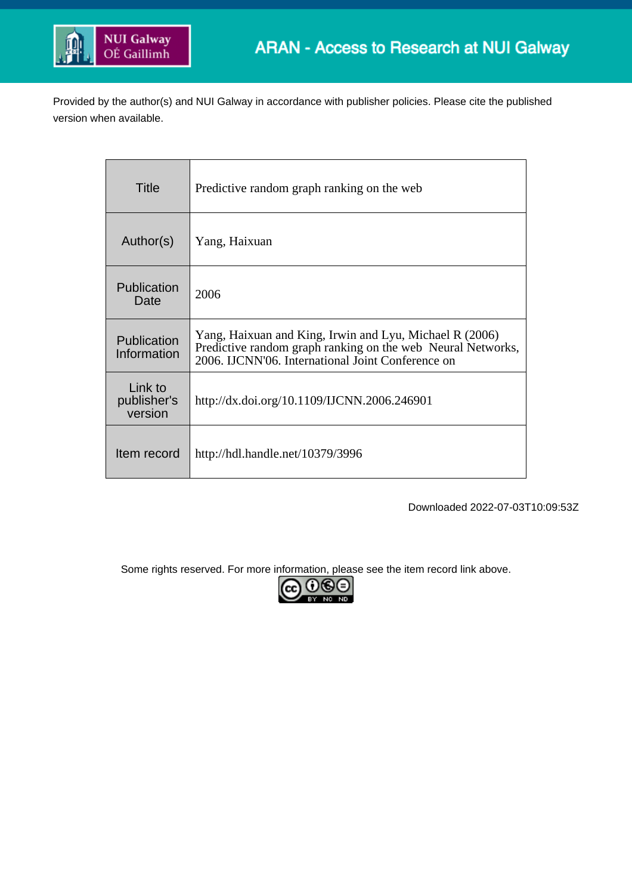

Provided by the author(s) and NUI Galway in accordance with publisher policies. Please cite the published version when available.

| Title                             | Predictive random graph ranking on the web                                                                                                                                  |
|-----------------------------------|-----------------------------------------------------------------------------------------------------------------------------------------------------------------------------|
| Author(s)                         | Yang, Haixuan                                                                                                                                                               |
| Publication<br>Date               | 2006                                                                                                                                                                        |
| Publication<br>Information        | Yang, Haixuan and King, Irwin and Lyu, Michael R (2006)<br>Predictive random graph ranking on the web Neural Networks,<br>2006. IJCNN'06. International Joint Conference on |
| Link to<br>publisher's<br>version | http://dx.doi.org/10.1109/IJCNN.2006.246901                                                                                                                                 |
| Item record                       | http://hdl.handle.net/10379/3996                                                                                                                                            |

Downloaded 2022-07-03T10:09:53Z

Some rights reserved. For more information, please see the item record link above.

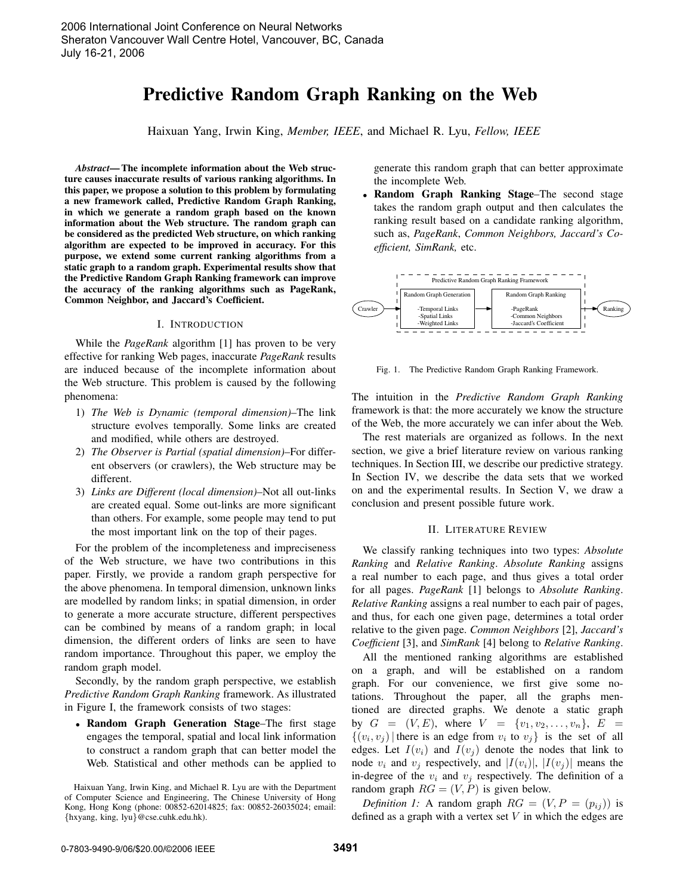# **Predictive Random Graph Ranking on the Web**

Haixuan Yang, Irwin King, *Member, IEEE*, and Michael R. Lyu, *Fellow, IEEE*

*Abstract***— The incomplete information about the Web structure causes inaccurate results of various ranking algorithms. In this paper, we propose a solution to this problem by formulating a new framework called, Predictive Random Graph Ranking, in which we generate a random graph based on the known information about the Web structure. The random graph can be considered as the predicted Web structure, on which ranking algorithm are expected to be improved in accuracy. For this purpose, we extend some current ranking algorithms from a static graph to a random graph. Experimental results show that the Predictive Random Graph Ranking framework can improve the accuracy of the ranking algorithms such as PageRank, Common Neighbor, and Jaccard's Coefficient.**

#### I. INTRODUCTION

While the *PageRank* algorithm [1] has proven to be very effective for ranking Web pages, inaccurate *PageRank* results are induced because of the incomplete information about the Web structure. This problem is caused by the following phenomena:

- 1) *The Web is Dynamic (temporal dimension)*–The link structure evolves temporally. Some links are created and modified, while others are destroyed.
- 2) *The Observer is Partial (spatial dimension)*–For different observers (or crawlers), the Web structure may be different.
- 3) *Links are Different (local dimension)*–Not all out-links are created equal. Some out-links are more significant than others. For example, some people may tend to put the most important link on the top of their pages.

For the problem of the incompleteness and impreciseness of the Web structure, we have two contributions in this paper. Firstly, we provide a random graph perspective for the above phenomena. In temporal dimension, unknown links are modelled by random links; in spatial dimension, in order to generate a more accurate structure, different perspectives can be combined by means of a random graph; in local dimension, the different orders of links are seen to have random importance. Throughout this paper, we employ the random graph model.

Secondly, by the random graph perspective, we establish *Predictive Random Graph Ranking* framework. As illustrated in Figure I, the framework consists of two stages:

• **Random Graph Generation Stage**–The first stage engages the temporal, spatial and local link information to construct a random graph that can better model the Web. Statistical and other methods can be applied to

Haixuan Yang, Irwin King, and Michael R. Lyu are with the Department of Computer Science and Engineering, The Chinese University of Hong Kong, Hong Kong (phone: 00852-62014825; fax: 00852-26035024; email: {hxyang, king, lyu}@cse.cuhk.edu.hk).

generate this random graph that can better approximate the incomplete Web.

• **Random Graph Ranking Stage**–The second stage takes the random graph output and then calculates the ranking result based on a candidate ranking algorithm, such as, *PageRank*, *Common Neighbors, Jaccard's Coefficient, SimRank,* etc.



Fig. 1. The Predictive Random Graph Ranking Framework.

The intuition in the *Predictive Random Graph Ranking* framework is that: the more accurately we know the structure of the Web, the more accurately we can infer about the Web.

The rest materials are organized as follows. In the next section, we give a brief literature review on various ranking techniques. In Section III, we describe our predictive strategy. In Section IV, we describe the data sets that we worked on and the experimental results. In Section V, we draw a conclusion and present possible future work.

#### II. LITERATURE REVIEW

We classify ranking techniques into two types: *Absolute Ranking* and *Relative Ranking*. *Absolute Ranking* assigns a real number to each page, and thus gives a total order for all pages. *PageRank* [1] belongs to *Absolute Ranking*. *Relative Ranking* assigns a real number to each pair of pages, and thus, for each one given page, determines a total order relative to the given page. *Common Neighbors* [2], *Jaccard's Coefficient* [3], and *SimRank* [4] belong to *Relative Ranking*.

All the mentioned ranking algorithms are established on a graph, and will be established on a random graph. For our convenience, we first give some notations. Throughout the paper, all the graphs mentioned are directed graphs. We denote a static graph by  $G = (V, E)$ , where  $V = \{v_1, v_2, \ldots, v_n\}$ ,  $E =$  $\{(v_i, v_j) |$  there is an edge from  $v_i$  to  $v_j\}$  is the set of all edges. Let  $I(v_i)$  and  $I(v_j)$  denote the nodes that link to node  $v_i$  and  $v_j$  respectively, and  $|I(v_i)|, |I(v_j)|$  means the in-degree of the  $v_i$  and  $v_j$  respectively. The definition of a random graph  $RG = (V, P)$  is given below.

*Definition 1:* A random graph  $RG = (V, P = (p_{ij}))$  is defined as a graph with a vertex set  $V$  in which the edges are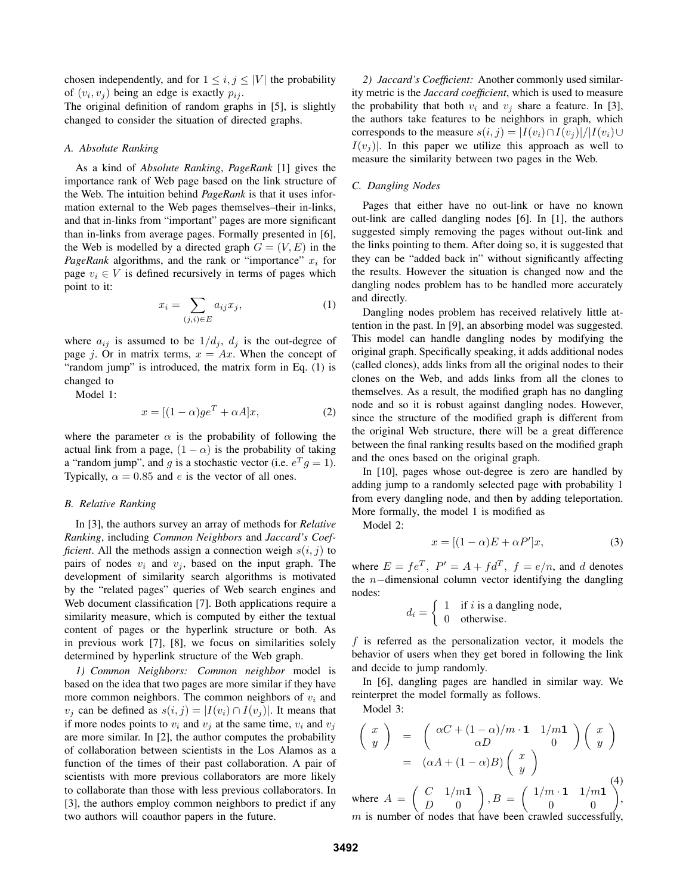chosen independently, and for  $1 \leq i, j \leq |V|$  the probability of  $(v_i, v_j)$  being an edge is exactly  $p_{ij}$ .

The original definition of random graphs in [5], is slightly changed to consider the situation of directed graphs.

## *A. Absolute Ranking*

As a kind of *Absolute Ranking*, *PageRank* [1] gives the importance rank of Web page based on the link structure of the Web. The intuition behind *PageRank* is that it uses information external to the Web pages themselves–their in-links, and that in-links from "important" pages are more significant than in-links from average pages. Formally presented in [6], the Web is modelled by a directed graph  $G = (V, E)$  in the *PageRank* algorithms, and the rank or "importance"  $x_i$  for page  $v_i \in V$  is defined recursively in terms of pages which point to it:

$$
x_i = \sum_{(j,i)\in E} a_{ij} x_j,\tag{1}
$$

where  $a_{ij}$  is assumed to be  $1/d_j$ ,  $d_j$  is the out-degree of page j. Or in matrix terms,  $x = Ax$ . When the concept of "random jump" is introduced, the matrix form in Eq. (1) is changed to

Model 1:

$$
x = [(1 - \alpha)ge^T + \alpha A]x,\tag{2}
$$

where the parameter  $\alpha$  is the probability of following the actual link from a page,  $(1 - \alpha)$  is the probability of taking a "random jump", and g is a stochastic vector (i.e.  $e^T g = 1$ ). Typically,  $\alpha = 0.85$  and e is the vector of all ones.

#### *B. Relative Ranking*

In [3], the authors survey an array of methods for *Relative Ranking*, including *Common Neighbors* and *Jaccard's Coefficient*. All the methods assign a connection weigh  $s(i, j)$  to pairs of nodes  $v_i$  and  $v_j$ , based on the input graph. The development of similarity search algorithms is motivated by the "related pages" queries of Web search engines and Web document classification [7]. Both applications require a similarity measure, which is computed by either the textual content of pages or the hyperlink structure or both. As in previous work [7], [8], we focus on similarities solely determined by hyperlink structure of the Web graph.

*1) Common Neighbors: Common neighbor* model is based on the idea that two pages are more similar if they have more common neighbors. The common neighbors of  $v_i$  and  $v_j$  can be defined as  $s(i, j) = |I(v_i) \cap I(v_j)|$ . It means that if more nodes points to  $v_i$  and  $v_j$  at the same time,  $v_i$  and  $v_j$ are more similar. In [2], the author computes the probability of collaboration between scientists in the Los Alamos as a function of the times of their past collaboration. A pair of scientists with more previous collaborators are more likely to collaborate than those with less previous collaborators. In [3], the authors employ common neighbors to predict if any two authors will coauthor papers in the future.

*2) Jaccard's Coefficient:* Another commonly used similarity metric is the *Jaccard coefficient*, which is used to measure the probability that both  $v_i$  and  $v_j$  share a feature. In [3], the authors take features to be neighbors in graph, which corresponds to the measure  $s(i,j) = |I(v_i) \cap I(v_j)|/|I(v_i) \cup$  $I(v_i)$ . In this paper we utilize this approach as well to measure the similarity between two pages in the Web.

# *C. Dangling Nodes*

Pages that either have no out-link or have no known out-link are called dangling nodes [6]. In [1], the authors suggested simply removing the pages without out-link and the links pointing to them. After doing so, it is suggested that they can be "added back in" without significantly affecting the results. However the situation is changed now and the dangling nodes problem has to be handled more accurately and directly.

Dangling nodes problem has received relatively little attention in the past. In [9], an absorbing model was suggested. This model can handle dangling nodes by modifying the original graph. Specifically speaking, it adds additional nodes (called clones), adds links from all the original nodes to their clones on the Web, and adds links from all the clones to themselves. As a result, the modified graph has no dangling node and so it is robust against dangling nodes. However, since the structure of the modified graph is different from the original Web structure, there will be a great difference between the final ranking results based on the modified graph and the ones based on the original graph.

In [10], pages whose out-degree is zero are handled by adding jump to a randomly selected page with probability 1 from every dangling node, and then by adding teleportation. More formally, the model 1 is modified as

Model 2:

$$
x = [(1 - \alpha)E + \alpha P']x, \tag{3}
$$

where  $E = fe^{T}$ ,  $P' = A + f d^{T}$ ,  $f = e/n$ , and d denotes the n−dimensional column vector identifying the dangling nodes:

$$
d_i = \begin{cases} 1 & \text{if } i \text{ is a damping node,} \\ 0 & \text{otherwise.} \end{cases}
$$

f is referred as the personalization vector, it models the behavior of users when they get bored in following the link and decide to jump randomly.

In [6], dangling pages are handled in similar way. We reinterpret the model formally as follows.

Model 3:

$$
\begin{pmatrix}\nx \\
y\n\end{pmatrix} = \begin{pmatrix}\n\alpha C + (1 - \alpha)/m \cdot 1 & 1/m1 \\
\alpha D & 0\n\end{pmatrix} \begin{pmatrix}\nx \\
y\n\end{pmatrix}
$$
\n
$$
= (\alpha A + (1 - \alpha)B) \begin{pmatrix}\nx \\
y\n\end{pmatrix}
$$
\n
$$
= (\alpha A + (1 - \alpha)B) \begin{pmatrix}\n\alpha \\
y\n\end{pmatrix}
$$
\n(4)

where  $A = \begin{pmatrix} C & 1/m \mathbf{1} \\ D & 0 \end{pmatrix}$  $D\qquad 0$  $\Bigg), B\ =\ \left( \begin{array}{cc} 1/m\cdot {\bf 1} & 1/m{\bf 1} \ 0 & 0 \ \end{array} \right),$  $m$  is number of nodes that have been crawled successfully,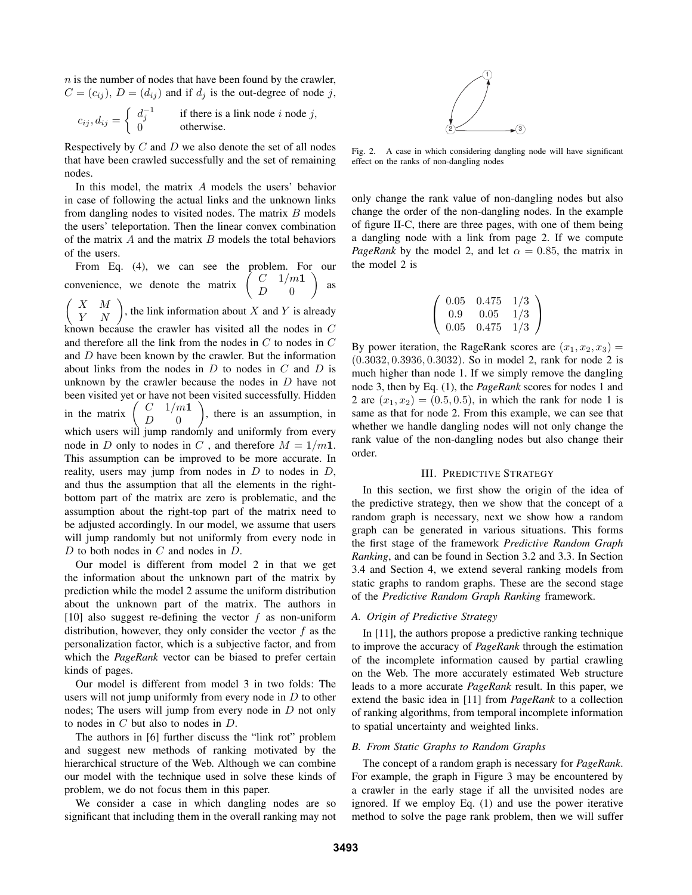$n$  is the number of nodes that have been found by the crawler,  $C = (c_{ij}), D = (d_{ij})$  and if  $d_j$  is the out-degree of node j,

$$
c_{ij}, d_{ij} = \begin{cases} d_j^{-1} & \text{if there is a link node } i \text{ node } j, \\ 0 & \text{otherwise.} \end{cases}
$$

Respectively by  $C$  and  $D$  we also denote the set of all nodes that have been crawled successfully and the set of remaining nodes.

In this model, the matrix A models the users' behavior in case of following the actual links and the unknown links from dangling nodes to visited nodes. The matrix  $B$  models the users' teleportation. Then the linear convex combination of the matrix  $A$  and the matrix  $B$  models the total behaviors of the users.

From Eq. (4), we can see the problem. For our convenience, we denote the matrix  $C \quad 1/m$ **1**  $D\qquad 0$  $\setminus$ as  $\begin{pmatrix} X & M \\ Y & N \end{pmatrix}$ , the link information about X and Y is already known because the crawler has visited all the nodes in  $C$ and therefore all the link from the nodes in C to nodes in C and  $D$  have been known by the crawler. But the information about links from the nodes in  $D$  to nodes in  $C$  and  $D$  is unknown by the crawler because the nodes in  $D$  have not been visited yet or have not been visited successfully. Hidden in the matrix  $C \quad 1/m$ **1**  $D \qquad 0$ ¶ , there is an assumption, in which users will jump randomly and uniformly from every node in D only to nodes in C, and therefore  $M = 1/m$ **1**. This assumption can be improved to be more accurate. In reality, users may jump from nodes in  $D$  to nodes in  $D$ , and thus the assumption that all the elements in the rightbottom part of the matrix are zero is problematic, and the assumption about the right-top part of the matrix need to be adjusted accordingly. In our model, we assume that users will jump randomly but not uniformly from every node in  $D$  to both nodes in  $C$  and nodes in  $D$ .

Our model is different from model 2 in that we get the information about the unknown part of the matrix by prediction while the model 2 assume the uniform distribution about the unknown part of the matrix. The authors in [10] also suggest re-defining the vector  $f$  as non-uniform distribution, however, they only consider the vector  $f$  as the personalization factor, which is a subjective factor, and from which the *PageRank* vector can be biased to prefer certain kinds of pages.

Our model is different from model 3 in two folds: The users will not jump uniformly from every node in  $D$  to other nodes; The users will jump from every node in D not only to nodes in  $C$  but also to nodes in  $D$ .

The authors in [6] further discuss the "link rot" problem and suggest new methods of ranking motivated by the hierarchical structure of the Web. Although we can combine our model with the technique used in solve these kinds of problem, we do not focus them in this paper.

We consider a case in which dangling nodes are so significant that including them in the overall ranking may not



Fig. 2. A case in which considering dangling node will have significant effect on the ranks of non-dangling nodes

only change the rank value of non-dangling nodes but also change the order of the non-dangling nodes. In the example of figure II-C, there are three pages, with one of them being a dangling node with a link from page 2. If we compute *PageRank* by the model 2, and let  $\alpha = 0.85$ , the matrix in the model 2 is

$$
\left(\begin{array}{ccc} 0.05 & 0.475 & 1/3 \\ 0.9 & 0.05 & 1/3 \\ 0.05 & 0.475 & 1/3 \end{array}\right)
$$

By power iteration, the RageRank scores are  $(x_1, x_2, x_3)$  = (0.3032, 0.3936, 0.3032). So in model 2, rank for node 2 is much higher than node 1. If we simply remove the dangling node 3, then by Eq. (1), the *PageRank* scores for nodes 1 and 2 are  $(x_1, x_2) = (0.5, 0.5)$ , in which the rank for node 1 is same as that for node 2. From this example, we can see that whether we handle dangling nodes will not only change the rank value of the non-dangling nodes but also change their order.

#### III. PREDICTIVE STRATEGY

In this section, we first show the origin of the idea of the predictive strategy, then we show that the concept of a random graph is necessary, next we show how a random graph can be generated in various situations. This forms the first stage of the framework *Predictive Random Graph Ranking*, and can be found in Section 3.2 and 3.3. In Section 3.4 and Section 4, we extend several ranking models from static graphs to random graphs. These are the second stage of the *Predictive Random Graph Ranking* framework.

#### *A. Origin of Predictive Strategy*

In [11], the authors propose a predictive ranking technique to improve the accuracy of *PageRank* through the estimation of the incomplete information caused by partial crawling on the Web. The more accurately estimated Web structure leads to a more accurate *PageRank* result. In this paper, we extend the basic idea in [11] from *PageRank* to a collection of ranking algorithms, from temporal incomplete information to spatial uncertainty and weighted links.

## *B. From Static Graphs to Random Graphs*

The concept of a random graph is necessary for *PageRank*. For example, the graph in Figure 3 may be encountered by a crawler in the early stage if all the unvisited nodes are ignored. If we employ Eq. (1) and use the power iterative method to solve the page rank problem, then we will suffer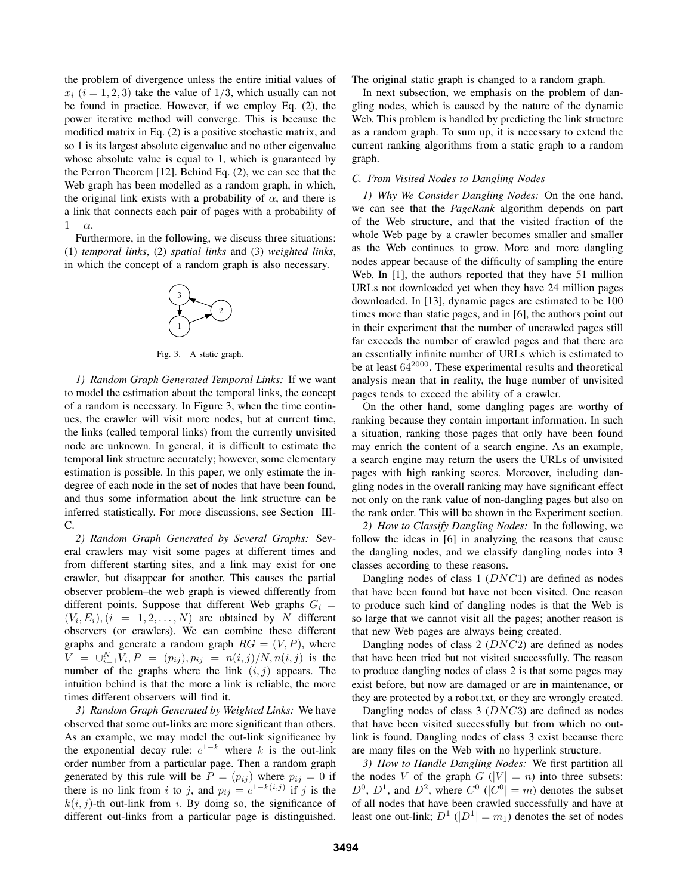the problem of divergence unless the entire initial values of  $x_i$   $(i = 1, 2, 3)$  take the value of  $1/3$ , which usually can not be found in practice. However, if we employ Eq. (2), the power iterative method will converge. This is because the modified matrix in Eq. (2) is a positive stochastic matrix, and so 1 is its largest absolute eigenvalue and no other eigenvalue whose absolute value is equal to 1, which is guaranteed by the Perron Theorem [12]. Behind Eq. (2), we can see that the Web graph has been modelled as a random graph, in which, the original link exists with a probability of  $\alpha$ , and there is a link that connects each pair of pages with a probability of  $1 - \alpha$ .

Furthermore, in the following, we discuss three situations: (1) *temporal links*, (2) *spatial links* and (3) *weighted links*, in which the concept of a random graph is also necessary.



Fig. 3. A static graph.

*1) Random Graph Generated Temporal Links:* If we want to model the estimation about the temporal links, the concept of a random is necessary. In Figure 3, when the time continues, the crawler will visit more nodes, but at current time, the links (called temporal links) from the currently unvisited node are unknown. In general, it is difficult to estimate the temporal link structure accurately; however, some elementary estimation is possible. In this paper, we only estimate the indegree of each node in the set of nodes that have been found, and thus some information about the link structure can be inferred statistically. For more discussions, see Section III-C.

*2) Random Graph Generated by Several Graphs:* Several crawlers may visit some pages at different times and from different starting sites, and a link may exist for one crawler, but disappear for another. This causes the partial observer problem–the web graph is viewed differently from different points. Suppose that different Web graphs  $G_i$  =  $(V_i, E_i), (i = 1, 2, \dots, N)$  are obtained by N different observers (or crawlers). We can combine these different graphs and generate a random graph  $RG = (V, P)$ , where  $V = \bigcup_{i=1}^{N} V_i, P = (p_{ij}), p_{ij} = n(i,j)/N, n(i,j)$  is the number of the graphs where the link  $(i, j)$  appears. The intuition behind is that the more a link is reliable, the more times different observers will find it.

*3) Random Graph Generated by Weighted Links:* We have observed that some out-links are more significant than others. As an example, we may model the out-link significance by the exponential decay rule:  $e^{1-k}$  where k is the out-link order number from a particular page. Then a random graph generated by this rule will be  $P = (p_{ij})$  where  $p_{ij} = 0$  if there is no link from i to j, and  $p_{ij} = e^{1-k(i,j)}$  if j is the  $k(i, j)$ -th out-link from i. By doing so, the significance of different out-links from a particular page is distinguished. The original static graph is changed to a random graph.

In next subsection, we emphasis on the problem of dangling nodes, which is caused by the nature of the dynamic Web. This problem is handled by predicting the link structure as a random graph. To sum up, it is necessary to extend the current ranking algorithms from a static graph to a random graph.

# *C. From Visited Nodes to Dangling Nodes*

*1) Why We Consider Dangling Nodes:* On the one hand, we can see that the *PageRank* algorithm depends on part of the Web structure, and that the visited fraction of the whole Web page by a crawler becomes smaller and smaller as the Web continues to grow. More and more dangling nodes appear because of the difficulty of sampling the entire Web. In [1], the authors reported that they have 51 million URLs not downloaded yet when they have 24 million pages downloaded. In [13], dynamic pages are estimated to be 100 times more than static pages, and in [6], the authors point out in their experiment that the number of uncrawled pages still far exceeds the number of crawled pages and that there are an essentially infinite number of URLs which is estimated to be at least 64<sup>2000</sup>. These experimental results and theoretical analysis mean that in reality, the huge number of unvisited pages tends to exceed the ability of a crawler.

On the other hand, some dangling pages are worthy of ranking because they contain important information. In such a situation, ranking those pages that only have been found may enrich the content of a search engine. As an example, a search engine may return the users the URLs of unvisited pages with high ranking scores. Moreover, including dangling nodes in the overall ranking may have significant effect not only on the rank value of non-dangling pages but also on the rank order. This will be shown in the Experiment section.

*2) How to Classify Dangling Nodes:* In the following, we follow the ideas in [6] in analyzing the reasons that cause the dangling nodes, and we classify dangling nodes into 3 classes according to these reasons.

Dangling nodes of class 1 (DNC1) are defined as nodes that have been found but have not been visited. One reason to produce such kind of dangling nodes is that the Web is so large that we cannot visit all the pages; another reason is that new Web pages are always being created.

Dangling nodes of class 2 (DNC2) are defined as nodes that have been tried but not visited successfully. The reason to produce dangling nodes of class 2 is that some pages may exist before, but now are damaged or are in maintenance, or they are protected by a robot.txt, or they are wrongly created.

Dangling nodes of class 3 (DNC3) are defined as nodes that have been visited successfully but from which no outlink is found. Dangling nodes of class 3 exist because there are many files on the Web with no hyperlink structure.

*3) How to Handle Dangling Nodes:* We first partition all the nodes V of the graph  $G(|V| = n)$  into three subsets:  $D^0$ ,  $D^1$ , and  $D^2$ , where  $C^0$  ( $|C^0| = m$ ) denotes the subset of all nodes that have been crawled successfully and have at least one out-link;  $D^1$  ( $|D^1| = m_1$ ) denotes the set of nodes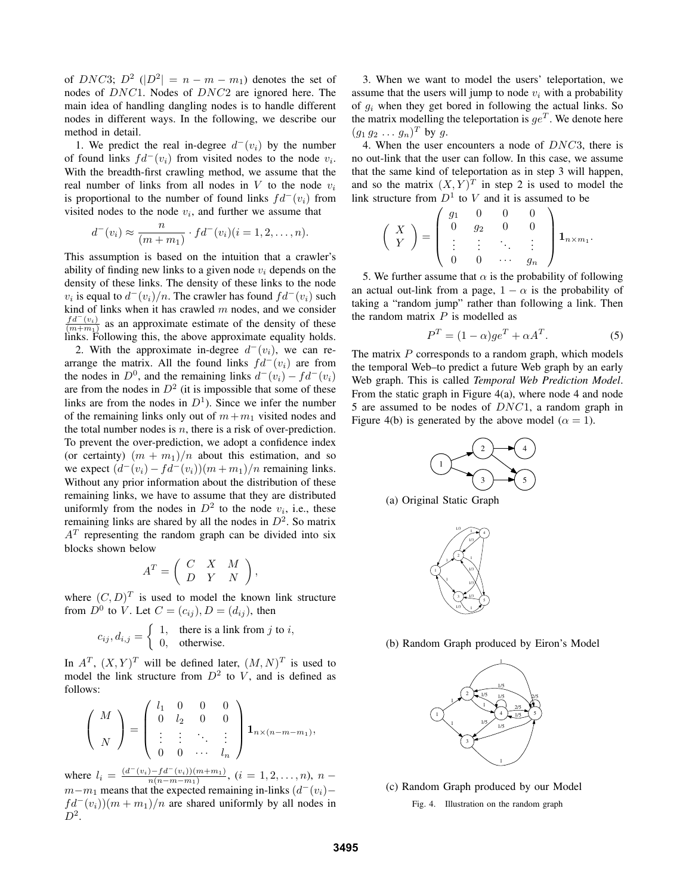of DNC3;  $D^2$  ( $|D^2| = n - m - m_1$ ) denotes the set of nodes of DNC1. Nodes of DNC2 are ignored here. The main idea of handling dangling nodes is to handle different nodes in different ways. In the following, we describe our method in detail.

1. We predict the real in-degree  $d^-(v_i)$  by the number of found links  $fd^-(v_i)$  from visited nodes to the node  $v_i$ . With the breadth-first crawling method, we assume that the real number of links from all nodes in  $V$  to the node  $v_i$ is proportional to the number of found links  $fd^-(v_i)$  from visited nodes to the node  $v_i$ , and further we assume that

$$
d^-(v_i) \approx \frac{n}{(m+m_1)} \cdot fd^-(v_i)(i=1,2,\ldots,n).
$$

This assumption is based on the intuition that a crawler's ability of finding new links to a given node  $v_i$  depends on the density of these links. The density of these links to the node  $v_i$  is equal to  $d^-(v_i)/n$ . The crawler has found  $fd^-(v_i)$  such kind of links when it has crawled  $m$  nodes, and we consider  $fd^-(v_i)$  $\frac{J^a(v_i)}{(m+m_1)}$  as an approximate estimate of the density of these links. Following this, the above approximate equality holds.

2. With the approximate in-degree  $d^-(v_i)$ , we can rearrange the matrix. All the found links  $fd^-(v_i)$  are from the nodes in  $D^0$ , and the remaining links  $d^-(v_i) - fd^-(v_i)$ are from the nodes in  $D^2$  (it is impossible that some of these links are from the nodes in  $D<sup>1</sup>$ ). Since we infer the number of the remaining links only out of  $m+m_1$  visited nodes and the total number nodes is  $n$ , there is a risk of over-prediction. To prevent the over-prediction, we adopt a confidence index (or certainty)  $(m + m_1)/n$  about this estimation, and so we expect  $(d^-(v_i) - fd^-(v_i))(m + m_1)/n$  remaining links. Without any prior information about the distribution of these remaining links, we have to assume that they are distributed uniformly from the nodes in  $D^2$  to the node  $v_i$ , i.e., these remaining links are shared by all the nodes in  $D^2$ . So matrix  $A<sup>T</sup>$  representing the random graph can be divided into six blocks shown below

$$
A^T = \left( \begin{array}{ccc} C & X & M \\ D & Y & N \end{array} \right),
$$

where  $(C, D)^T$  is used to model the known link structure from  $D^0$  to V. Let  $C = (c_{ij}), D = (d_{ij}),$  then

$$
c_{ij}, d_{i,j} = \begin{cases} 1, & \text{there is a link from } j \text{ to } i, \\ 0, & \text{otherwise.} \end{cases}
$$

In  $A^T$ ,  $(X, Y)^T$  will be defined later,  $(M, N)^T$  is used to model the link structure from  $D^2$  to V, and is defined as follows:

$$
\left(\begin{array}{c} M \\ N \end{array}\right) = \left(\begin{array}{cccc} l_1 & 0 & 0 & 0 \\ 0 & l_2 & 0 & 0 \\ \vdots & \vdots & \ddots & \vdots \\ 0 & 0 & \cdots & l_n \end{array}\right) \mathbf{1}_{n \times (n-m-m_1)},
$$

where  $l_i = \frac{(d^-(v_i)-fd^-(v_i))(m+m_1)}{n(n-m-m_1)}$  $\frac{n(n-m-m_1)}{n(n-m-m_1)},\ (i=1,2,\ldots,n),\ n=m_1$  $m-m_1$  means that the expected remaining in-links  $(d^-(v_i)$  $fd^-(v_i)(m+m_1)/n$  are shared uniformly by all nodes in  $D^2$ .

3. When we want to model the users' teleportation, we assume that the users will jump to node  $v_i$  with a probability of  $g_i$  when they get bored in following the actual links. So the matrix modelling the teleportation is  $ge^T$ . We denote here  $(g_1 g_2 \ldots g_n)^T$  by g.

4. When the user encounters a node of DNC3, there is no out-link that the user can follow. In this case, we assume that the same kind of teleportation as in step 3 will happen, and so the matrix  $(X, Y)^T$  in step 2 is used to model the link structure from  $D^1$  to V and it is assumed to be

$$
\left(\begin{array}{c} X \\ Y \end{array}\right) = \left(\begin{array}{cccc} g_1 & 0 & 0 & 0 \\ 0 & g_2 & 0 & 0 \\ \vdots & \vdots & \ddots & \vdots \\ 0 & 0 & \cdots & g_n \end{array}\right) \mathbf{1}_{n \times m_1}.
$$

5. We further assume that  $\alpha$  is the probability of following an actual out-link from a page,  $1 - \alpha$  is the probability of taking a "random jump" rather than following a link. Then the random matrix  $P$  is modelled as

$$
P^T = (1 - \alpha)ge^T + \alpha A^T.
$$
 (5)

The matrix  $P$  corresponds to a random graph, which models the temporal Web–to predict a future Web graph by an early Web graph. This is called *Temporal Web Prediction Model*. From the static graph in Figure 4(a), where node 4 and node 5 are assumed to be nodes of  $DNC1$ , a random graph in Figure 4(b) is generated by the above model ( $\alpha = 1$ ).



(a) Original Static Graph



(b) Random Graph produced by Eiron's Model



(c) Random Graph produced by our Model

Fig. 4. Illustration on the random graph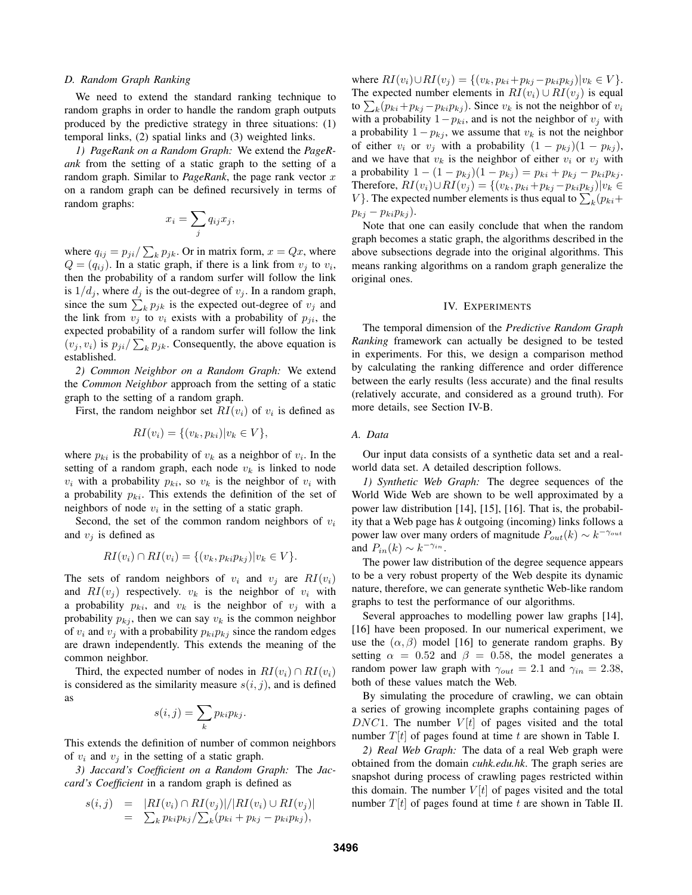#### *D. Random Graph Ranking*

We need to extend the standard ranking technique to random graphs in order to handle the random graph outputs produced by the predictive strategy in three situations: (1) temporal links, (2) spatial links and (3) weighted links.

*1) PageRank on a Random Graph:* We extend the *PageRank* from the setting of a static graph to the setting of a random graph. Similar to  $PageRank$ , the page rank vector  $x$ on a random graph can be defined recursively in terms of random graphs:

$$
x_i = \sum_j q_{ij} x_j,
$$

where  $q_{ij} = p_{ji} / \sum_k p_{jk}$ . Or in matrix form,  $x = Qx$ , where  $Q = (q_{ij})$ . In a static graph, if there is a link from  $v_j$  to  $v_i$ , then the probability of a random surfer will follow the link is  $1/d_j$ , where  $d_j$  is the out-degree of  $v_j$ . In a random graph, since the sum  $\sum_k p_{jk}$  is the expected out-degree of  $v_j$  and the link from  $v_i$  to  $v_i$  exists with a probability of  $p_{ii}$ , the expected probability of a random surfer will follow the link  $(v_j, v_i)$  is  $p_{ji}/\sum_k p_{jk}$ . Consequently, the above equation is established.

*2) Common Neighbor on a Random Graph:* We extend the *Common Neighbor* approach from the setting of a static graph to the setting of a random graph.

First, the random neighbor set  $RI(v_i)$  of  $v_i$  is defined as

$$
RI(v_i) = \{(v_k, p_{ki}) | v_k \in V\},\
$$

where  $p_{ki}$  is the probability of  $v_k$  as a neighbor of  $v_i$ . In the setting of a random graph, each node  $v_k$  is linked to node  $v_i$  with a probability  $p_{ki}$ , so  $v_k$  is the neighbor of  $v_i$  with a probability  $p_{ki}$ . This extends the definition of the set of neighbors of node  $v_i$  in the setting of a static graph.

Second, the set of the common random neighbors of  $v_i$ and  $v_j$  is defined as

$$
RI(v_i) \cap RI(v_i) = \{(v_k, p_{ki}p_{kj}) | v_k \in V\}.
$$

The sets of random neighbors of  $v_i$  and  $v_j$  are  $RI(v_i)$ and  $RI(v_i)$  respectively.  $v_k$  is the neighbor of  $v_i$  with a probability  $p_{ki}$ , and  $v_k$  is the neighbor of  $v_j$  with a probability  $p_{kj}$ , then we can say  $v_k$  is the common neighbor of  $v_i$  and  $v_j$  with a probability  $p_{ki}p_{ki}$  since the random edges are drawn independently. This extends the meaning of the common neighbor.

Third, the expected number of nodes in  $RI(v_i) \cap RI(v_i)$ is considered as the similarity measure  $s(i, j)$ , and is defined as

$$
s(i,j) = \sum_{k} p_{ki} p_{kj}.
$$

This extends the definition of number of common neighbors of  $v_i$  and  $v_j$  in the setting of a static graph.

*3) Jaccard's Coefficient on a Random Graph:* The *Jaccard's Coefficient* in a random graph is defined as

$$
s(i,j) = |RI(v_i) \cap RI(v_j)|/|RI(v_i) \cup RI(v_j)|
$$
  
= 
$$
\sum_k p_{ki} p_{kj} / \sum_k (p_{ki} + p_{kj} - p_{ki} p_{kj}),
$$

where  $RI(v_i) \cup RI(v_j) = \{(v_k, p_{ki} + p_{kj} - p_{ki}p_{kj}) | v_k \in V\}.$ The expected number elements in  $RI(v_i) \cup RI(v_j)$  is equal to  $\sum_{k} (p_{ki} + p_{kj} - p_{ki}p_{kj})$ . Since  $v_k$  is not the neighbor of  $v_i$ with a probability  $1-p_{ki}$ , and is not the neighbor of  $v_j$  with a probability  $1 - p_{kj}$ , we assume that  $v_k$  is not the neighbor of either  $v_i$  or  $v_j$  with a probability  $(1 - p_{kj})(1 - p_{kj}),$ and we have that  $v_k$  is the neighbor of either  $v_i$  or  $v_j$  with a probability  $1 - (1 - p_{kj})(1 - p_{kj}) = p_{ki} + p_{kj} - p_{ki}p_{kj}$ . Therefore,  $RI(v_i) \cup RI(v_j) = \{(v_k, p_{ki} + p_{kj} - p_{ki}p_{kj}) | v_k \in$ V }. The expected number elements is thus equal to  $\sum_{k} (p_{ki} + p_{ki})$  $p_{kj} - p_{ki}p_{kj}$ .

Note that one can easily conclude that when the random graph becomes a static graph, the algorithms described in the above subsections degrade into the original algorithms. This means ranking algorithms on a random graph generalize the original ones.

#### IV. EXPERIMENTS

The temporal dimension of the *Predictive Random Graph Ranking* framework can actually be designed to be tested in experiments. For this, we design a comparison method by calculating the ranking difference and order difference between the early results (less accurate) and the final results (relatively accurate, and considered as a ground truth). For more details, see Section IV-B.

## *A. Data*

Our input data consists of a synthetic data set and a realworld data set. A detailed description follows.

*1) Synthetic Web Graph:* The degree sequences of the World Wide Web are shown to be well approximated by a power law distribution [14], [15], [16]. That is, the probability that a Web page has *k* outgoing (incoming) links follows a power law over many orders of magnitude  $P_{out}(k) \sim k^{-\gamma_{out}}$ and  $P_{in}(k) \sim k^{-\gamma_{in}}$ .

The power law distribution of the degree sequence appears to be a very robust property of the Web despite its dynamic nature, therefore, we can generate synthetic Web-like random graphs to test the performance of our algorithms.

Several approaches to modelling power law graphs [14], [16] have been proposed. In our numerical experiment, we use the  $(\alpha, \beta)$  model [16] to generate random graphs. By setting  $\alpha = 0.52$  and  $\beta = 0.58$ , the model generates a random power law graph with  $\gamma_{out} = 2.1$  and  $\gamma_{in} = 2.38$ , both of these values match the Web.

By simulating the procedure of crawling, we can obtain a series of growing incomplete graphs containing pages of  $DNC1$ . The number  $V[t]$  of pages visited and the total number  $T[t]$  of pages found at time t are shown in Table I.

*2) Real Web Graph:* The data of a real Web graph were obtained from the domain *cuhk.edu.hk*. The graph series are snapshot during process of crawling pages restricted within this domain. The number  $V[t]$  of pages visited and the total number  $T[t]$  of pages found at time t are shown in Table II.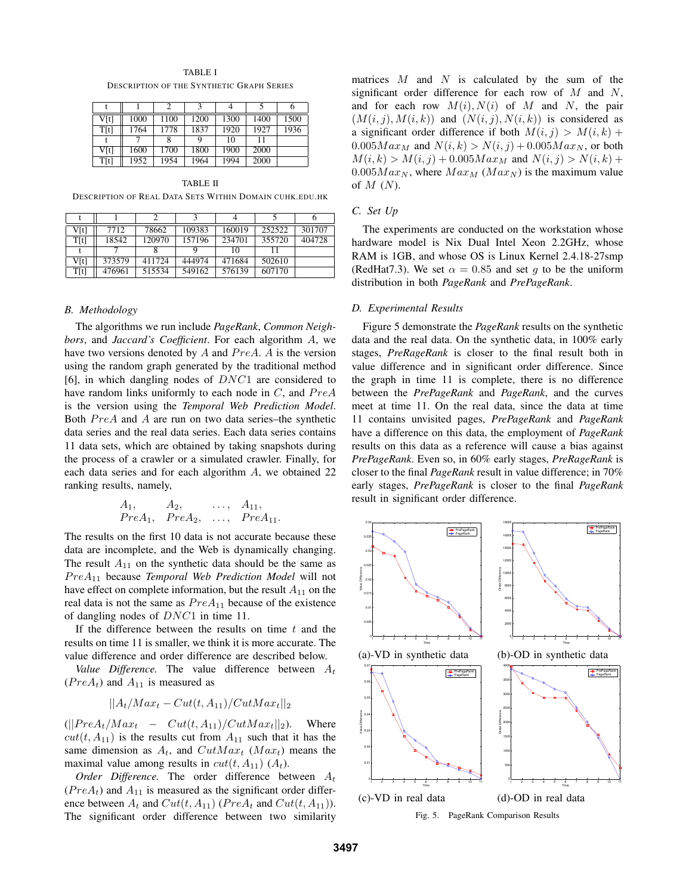TABLE I DESCRIPTION OF THE SYNTHETIC GRAPH SERIES

| V[t] | 1000 | 1100 | 1200 | 1300 | 1400 | 1500 |
|------|------|------|------|------|------|------|
| T[t] | 1764 | 1778 | 1837 | 1920 | 1927 | 1936 |
|      |      | 8    | Ω    | 10   | 11   |      |
| V[t] | 1600 | 1700 | 1800 | 1900 | 2000 |      |
| T[t] | 1952 | 1954 | 1964 | 1994 | 2000 |      |

TABLE II DESCRIPTION OF REAL DATA SETS WITHIN DOMAIN CUHK.EDU.HK

| V[t] | 7712   | 78662  | 109383 | 160019 | 252522 | 301707 |
|------|--------|--------|--------|--------|--------|--------|
| T[t] | 18542  | 120970 | 157196 | 234701 | 355720 | 404728 |
|      |        |        |        | 10     |        |        |
| V[t] | 373579 | 411724 | 444974 | 471684 | 502610 |        |
| T[t] | 476961 | 515534 | 549162 | 576139 | 607170 |        |

# *B. Methodology*

The algorithms we run include *PageRank*, *Common Neighbors*, and *Jaccard's Coefficient*. For each algorithm A, we have two versions denoted by  $A$  and  $PreA$ .  $A$  is the version using the random graph generated by the traditional method [6], in which dangling nodes of DNC1 are considered to have random links uniformly to each node in  $C$ , and  $PreA$ is the version using the *Temporal Web Prediction Model*. Both PreA and A are run on two data series–the synthetic data series and the real data series. Each data series contains 11 data sets, which are obtained by taking snapshots during the process of a crawler or a simulated crawler. Finally, for each data series and for each algorithm A, we obtained 22 ranking results, namely,

$$
A_1
$$
,  $A_2$ , ...,  $A_{11}$ ,  
*Pred*<sub>1</sub>, *Pred*<sub>2</sub>, ..., *Pred*<sub>11</sub>.

The results on the first 10 data is not accurate because these data are incomplete, and the Web is dynamically changing. The result  $A_{11}$  on the synthetic data should be the same as PreA<sup>11</sup> because *Temporal Web Prediction Model* will not have effect on complete information, but the result  $A_{11}$  on the real data is not the same as  $PreA_{11}$  because of the existence of dangling nodes of DNC1 in time 11.

If the difference between the results on time  $t$  and the results on time 11 is smaller, we think it is more accurate. The value difference and order difference are described below.

*Value Difference*. The value difference between  $A_t$  $(PreA<sub>t</sub>)$  and  $A<sub>11</sub>$  is measured as

$$
||A_t/Max_t - Cut(t, A_{11})/CutMax_t||_2
$$

 $(||PreA_t/Max_t - Cut(t, A_{11})/CutMax_t||_2).$  Where  $cut(t, A_{11})$  is the results cut from  $A_{11}$  such that it has the same dimension as  $A_t$ , and  $CutMax_t$  ( $Max_t$ ) means the maximal value among results in  $cut(t, A_{11})$   $(A_t)$ .

*Order Difference*. The order difference between  $A_t$  $(PreA<sub>t</sub>)$  and  $A<sub>11</sub>$  is measured as the significant order difference between  $A_t$  and  $Cut(t, A_{11})$  (Pre $A_t$  and  $Cut(t, A_{11})$ ). The significant order difference between two similarity

matrices  $M$  and  $N$  is calculated by the sum of the significant order difference for each row of  $M$  and  $N$ , and for each row  $M(i)$ ,  $N(i)$  of M and N, the pair  $(M(i, j), M(i, k))$  and  $(N(i, j), N(i, k))$  is considered as a significant order difference if both  $M(i, j) > M(i, k) +$  $0.005Max_M$  and  $N(i,k) > N(i,j) + 0.005Max_N$ , or both  $M(i,k) > M(i,j) + 0.005 M a x_M$  and  $N(i,j) > N(i,k) +$  $0.005Max_N$ , where  $Max_M$  ( $Max_N$ ) is the maximum value of  $M(N)$ .

## *C. Set Up*

The experiments are conducted on the workstation whose hardware model is Nix Dual Intel Xeon 2.2GHz, whose RAM is 1GB, and whose OS is Linux Kernel 2.4.18-27smp (RedHat7.3). We set  $\alpha = 0.85$  and set g to be the uniform distribution in both *PageRank* and *PrePageRank*.

#### *D. Experimental Results*

Figure 5 demonstrate the *PageRank* results on the synthetic data and the real data. On the synthetic data, in 100% early stages, *PreRageRank* is closer to the final result both in value difference and in significant order difference. Since the graph in time 11 is complete, there is no difference between the *PrePageRank* and *PageRank*, and the curves meet at time 11. On the real data, since the data at time 11 contains unvisited pages, *PrePageRank* and *PageRank* have a difference on this data, the employment of *PageRank* results on this data as a reference will cause a bias against *PrePageRank*. Even so, in 60% early stages, *PreRageRank* is closer to the final *PageRank* result in value difference; in 70% early stages, *PrePageRank* is closer to the final *PageRank* result in significant order difference.